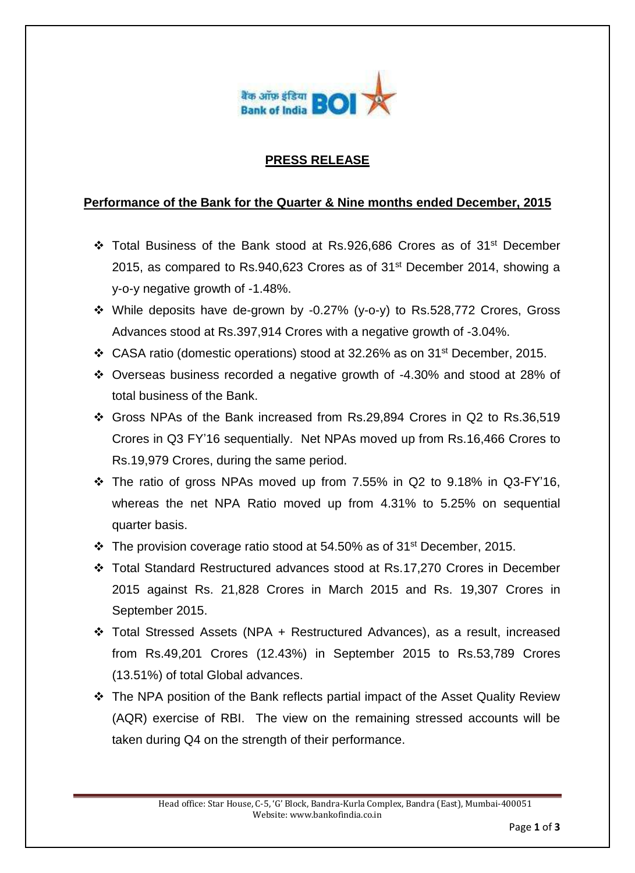

#### **PRESS RELEASE**

#### **Performance of the Bank for the Quarter & Nine months ended December, 2015**

- \* Total Business of the Bank stood at Rs.926,686 Crores as of 31<sup>st</sup> December 2015, as compared to Rs.940,623 Crores as of 31st December 2014, showing a y-o-y negative growth of -1.48%.
- While deposits have de-grown by -0.27% (y-o-y) to Rs.528,772 Crores, Gross Advances stood at Rs.397,914 Crores with a negative growth of -3.04%.
- CASA ratio (domestic operations) stood at 32.26% as on 31st December, 2015.
- Overseas business recorded a negative growth of -4.30% and stood at 28% of total business of the Bank.
- Gross NPAs of the Bank increased from Rs.29,894 Crores in Q2 to Rs.36,519 Crores in Q3 FY'16 sequentially. Net NPAs moved up from Rs.16,466 Crores to Rs.19,979 Crores, during the same period.
- \* The ratio of gross NPAs moved up from 7.55% in Q2 to 9.18% in Q3-FY'16, whereas the net NPA Ratio moved up from 4.31% to 5.25% on sequential quarter basis.
- $\cdot$  The provision coverage ratio stood at 54.50% as of 31<sup>st</sup> December, 2015.
- Total Standard Restructured advances stood at Rs.17,270 Crores in December 2015 against Rs. 21,828 Crores in March 2015 and Rs. 19,307 Crores in September 2015.
- Total Stressed Assets (NPA + Restructured Advances), as a result, increased from Rs.49,201 Crores (12.43%) in September 2015 to Rs.53,789 Crores (13.51%) of total Global advances.
- \* The NPA position of the Bank reflects partial impact of the Asset Quality Review (AQR) exercise of RBI. The view on the remaining stressed accounts will be taken during Q4 on the strength of their performance.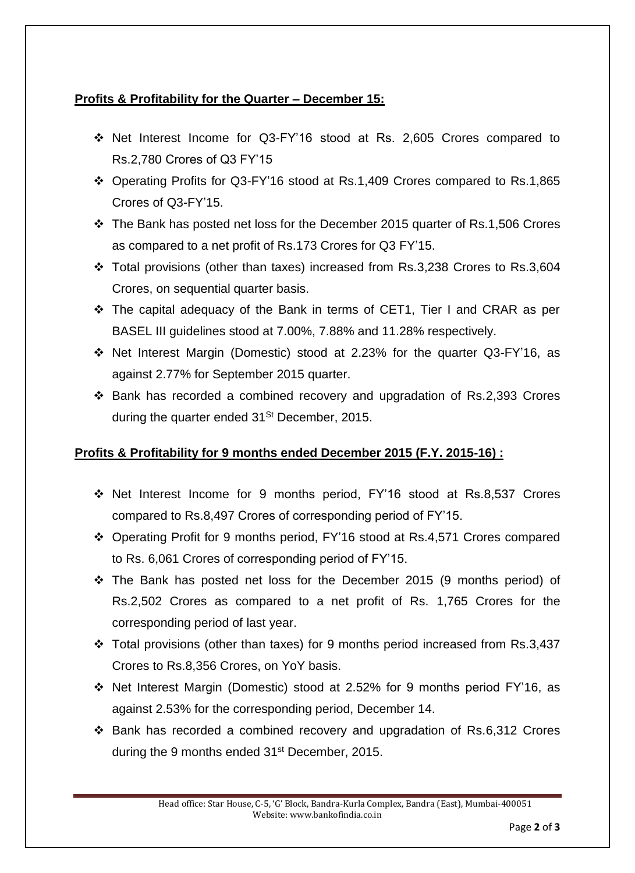## **Profits & Profitability for the Quarter – December 15:**

- Net Interest Income for Q3-FY'16 stood at Rs. 2,605 Crores compared to Rs.2,780 Crores of Q3 FY'15
- Operating Profits for Q3-FY'16 stood at Rs.1,409 Crores compared to Rs.1,865 Crores of Q3-FY'15.
- The Bank has posted net loss for the December 2015 quarter of Rs.1,506 Crores as compared to a net profit of Rs.173 Crores for Q3 FY'15.
- \* Total provisions (other than taxes) increased from Rs.3,238 Crores to Rs.3,604 Crores, on sequential quarter basis.
- The capital adequacy of the Bank in terms of CET1, Tier I and CRAR as per BASEL III guidelines stood at 7.00%, 7.88% and 11.28% respectively.
- Net Interest Margin (Domestic) stood at 2.23% for the quarter Q3-FY'16, as against 2.77% for September 2015 quarter.
- Bank has recorded a combined recovery and upgradation of Rs.2,393 Crores during the quarter ended  $31<sup>St</sup>$  December, 2015.

# **Profits & Profitability for 9 months ended December 2015 (F.Y. 2015-16) :**

- Net Interest Income for 9 months period, FY'16 stood at Rs.8,537 Crores compared to Rs.8,497 Crores of corresponding period of FY'15.
- Operating Profit for 9 months period, FY'16 stood at Rs.4,571 Crores compared to Rs. 6,061 Crores of corresponding period of FY'15.
- The Bank has posted net loss for the December 2015 (9 months period) of Rs.2,502 Crores as compared to a net profit of Rs. 1,765 Crores for the corresponding period of last year.
- Total provisions (other than taxes) for 9 months period increased from Rs.3,437 Crores to Rs.8,356 Crores, on YoY basis.
- Net Interest Margin (Domestic) stood at 2.52% for 9 months period FY'16, as against 2.53% for the corresponding period, December 14.
- Bank has recorded a combined recovery and upgradation of Rs.6,312 Crores during the 9 months ended 31<sup>st</sup> December, 2015.